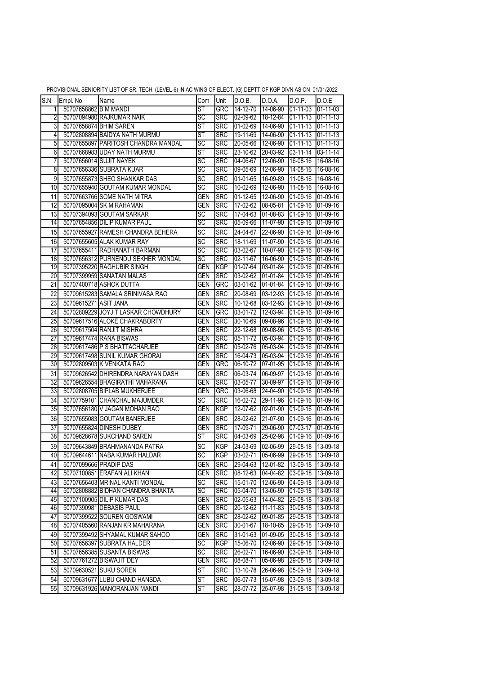|                 |                       |                                     |                          |             | $\cdot$ $\cdot$ $\cdot$ $\cdot$ $\cdot$ $\cdot$ |                       |                   |                  |
|-----------------|-----------------------|-------------------------------------|--------------------------|-------------|-------------------------------------------------|-----------------------|-------------------|------------------|
| S.N.            | Empl. No              | Name                                | Com                      | Unit        | D.O.B.                                          | D.O.A.                | D.O.P.            | D.O.E            |
| $\overline{1}$  | 50707658862IB M MANDI |                                     | ŜΤ                       | <b>GRC</b>  | 14-12-70                                        | 14-06-90              | $01 - 11 - 03$    | 01-11-03         |
| 2               |                       | 50707094980 RAJKUMAR NAIK           | SC                       | <b>SRC</b>  | 02-09-62                                        | 18-12-84              | $01 - 11 - 13$    | 01-11-13         |
| 3               |                       | 50707658874 BHIM SAREN              | $\overline{\text{ST}}$   | <b>SRC</b>  | $01 - 02 - 69$                                  | 14-06-90              | $01 - 11 - 13$    | $01 - 11 - 13$   |
| 4               |                       | 50702808894 BAIDYA NATH MURMU       | $\overline{\mathsf{ST}}$ | <b>SRC</b>  | 19-11-69                                        | 14-06-90              | $01 - 11 - 13$    | 101-11-13        |
| 5               |                       | 50707655897 PARITOSH CHANDRA MANDAL | $\overline{\text{sc}}$   | <b>SRC</b>  | 20-05-66                                        | 12-06-90              | $01 - 11 - 13$    | $01 - 11 - 13$   |
| 6               |                       | 50707668983 UDAY NATH MURMU         | $\overline{\text{ST}}$   | <b>SRC</b>  | 23-10-62                                        | 20-03-92              | $03 - 11 - 14$    | $03 - 11 - 14$   |
| 7               |                       | 50707656014 SUJIT NAYEK             | SC                       | <b>SRC</b>  | 04-06-67                                        | 12-06-90              | 16-08-16          | 16-08-16         |
| 8               |                       | 50707656336 SUBRATA KUAR            | SC                       | <b>SRC</b>  | 09-05-69                                        | 12-06-90              | 14-08-16          | 16-08-16         |
| 9               |                       | 50707655873 SHEO SHANKAR DAS        | $\overline{SC}$          | <b>SRC</b>  | 01-01-65                                        | 16-09-89              | 11-08-16          | 16-08-16         |
| $\overline{10}$ |                       | 50707655940 GOUTAM KUMAR MONDAL     | $\overline{SC}$          | <b>SRC</b>  | 10-02-69                                        | 12-06-90              | 11-08-16          | 16-08-16         |
| 11              |                       | 50707663766 SOME NATH MITRA         | <b>GEN</b>               | <b>SRC</b>  | $01 - 12 - 65$                                  | 12-06-90              | 01-09-16          | 01-09-16         |
| $\overline{12}$ |                       | 50707095004 SK M RAHAMAN            | <b>GEN</b>               | <b>SRC</b>  | 17-02-62                                        | 08-05-81              | 01-09-16          | $01-09-16$       |
| 13              |                       | 50707394093 GOUTAM SARKAR           | <b>SC</b>                | <b>SRC</b>  | $17 - 04 - 63$                                  | 01-08-83              | 01-09-16          | 01-09-16         |
| 14              |                       | 50707654856 DILIP KUMAR PAUL        | SC                       | SRC         | 05-09-66                                        | 11-07-90              | $ 01-09-16$       | $[01-09-16]$     |
| 15              |                       | 50707655927 RAMESH CHANDRA BEHERA   | SC                       | <b>SRC</b>  | 24-04-67                                        | 22-06-90              | 01-09-16          | 01-09-16         |
| 16              |                       | 50707655605 ALAK KUMAR RAY          | $\overline{SC}$          | <b>SRC</b>  | 18-11-69                                        | $\sqrt{11} - 07 - 90$ | 01-09-16          | 01-09-16         |
| $\overline{17}$ |                       | 50707655411 RADHANATH BARMAN        | $\overline{\text{sc}}$   | <b>SRC</b>  | 03-02-67                                        | 10-07-90              | $01-09-16$        | 01-09-16         |
| 18              |                       | 50707656312 PURNENDU SEKHER MONDAL  | SC                       | <b>SRC</b>  | 02-11-67                                        | 16-06-90              | $01-09-16$        | $[01-09-16]$     |
| 19              |                       | 50707395220 RAGHUBIR SINGH          | <b>GEN</b>               | <b>KGP</b>  | 01-07-64                                        | 03-01-84              | $ 01 - 09 - 16 $  | $01-09-16$       |
| 20              |                       | 50707399959 SANATAN MALAS           | <b>GEN</b>               | <b>SRC</b>  | $03-02-62$                                      | $01-01-84$            | $01-09-16$        | 01-09-16         |
| $\overline{21}$ |                       | 50707400718 ASHOK DUTTA             | <b>GEN</b>               | <b>GRC</b>  | 03-01-62                                        | 01-01-84              | $01 - 09 - 16$    | 01-09-16         |
| $\overline{22}$ |                       | 50709615283 SAMALA SRINIVASA RAO    | <b>GEN</b>               | <b>SRC</b>  | 20-08-69                                        | 03-12-93              | 01-09-16          | 01-09-16         |
| 23              | 50709615271 ASIT JANA |                                     | <b>GEN</b>               | <b>SRC</b>  | 10-12-68                                        | 03-12-93              | 01-09-16          | 01-09-16         |
| 24              |                       | 50702809229 JOYJIT LASKAR CHOWDHURY | <b>GEN</b>               | <b>GRC</b>  | 03-01-72                                        | 12-03-94              | 01-09-16          | 01-09-16         |
| $\overline{25}$ |                       | 50709617516 ALOKE CHAKRABORTY       | <b>GEN</b>               | <b>SRC</b>  | 30-10-69                                        | 09-08-96              | $01-09-16$        | 01-09-16         |
| $\overline{26}$ |                       | 50709617504 RANJIT MISHRA           | GEN                      | <b>SRC</b>  | $22 - 12 - 68$                                  | 09-08-96              | $01-09-16$        | $01-09-16$       |
| 27              |                       | 50709617474 RANA BISWAS             | <b>GEN</b>               | <b>SRC</b>  | 05-11-72                                        | 05-03-94              | $01-09-16$        | $ 01 - 09 - 16 $ |
| 28              |                       | 50709617486 P S BHATTACHARJEE       | <b>GEN</b>               | <b>SRC</b>  | $05-02-76$                                      | 05-03-94              | 01-09-16          | $01-09-16$       |
| 29              |                       | 50709617498 SUNIL KUMAR GHORAI      | <b>GEN</b>               | <b>SRC</b>  | 16-04-73                                        | 05-03-94              | 01-09-16          | $01-09-16$       |
| 30              |                       | 50702809503 K VENKATA RAO           | <b>GEN</b>               | GRC         | 06-10-72                                        | 07-01-95              | $ 01 - 09 - 16 $  | $01 - 09 - 16$   |
| 31              |                       | 50709626542 DHIRENDRA NARAYAN DASH  | <b>GEN</b>               | <b>SRC</b>  | 06-03-74                                        | 06-09-97              | 01-09-16          | 01-09-16         |
| 32              |                       | 50709626554 BHAGIRATHI MAHARANA     | <b>GEN</b>               | <b>SRC</b>  | 03-05-77                                        | 30-09-97              | 01-09-16          | $01-09-16$       |
| 33              |                       | 50702808705 BIPLAB MUKHERJEE        | <b>GEN</b>               | GRC         | 03-06-68                                        | 24-04-90              | 01-09-16          | 01-09-16         |
| 34              |                       | 50707759101 CHANCHAL MAJUMDER       | SC                       | <b>SRC</b>  | 16-02-72                                        | 29-11-96              | 01-09-16          | 01-09-16         |
| 35              |                       | 50707656180 V JAGAN MOHAN RAO       | <b>GEN</b>               | KGP         | $12 - 07 - 62$                                  | $02 - 01 - 90$        | $01-09-16$        | $01-09-16$       |
| 36              |                       | 50707655083 GOUTAM BANERJEE         | <b>GEN</b>               | <b>SRC</b>  | 28-02-62                                        | 21-07-90              | 01-09-16          | 01-09-16         |
| $\overline{37}$ |                       | 50707655824 DINESH DUBEY            | <b>GEN</b>               | <b>SRC</b>  | $17 - 09 - 71$                                  | 29-06-90              | $07-03-17$        | $01-09-16$       |
| 38              |                       | 50709628678 SUKCHAND SAREN          | $\overline{\mathsf{ST}}$ | <b>SRC</b>  | 04-03-69                                        | 25-02-98              | 01-09-16          | 01-09-16         |
| 39              |                       | 50709643849 BRAHMANANDA PATRA       | SC                       | <b>KGP</b>  | 24-03-69                                        | 02-06-99              | 29-08-18          | 13-09-18         |
| 40              |                       | 50709644611 NABA KUMAR HALDAR       | SC                       | <b>KGP</b>  | 03-02-71                                        | 05-06-99              | 29-08-18          | 13-09-18         |
| 41              |                       | 50707099666 PRADIP DAS              | <b>GEN</b>               | <b>ISRC</b> | 29-04-63                                        | 12-01-82              | 13-09-18          | 13-09-18         |
| 42              |                       | 50707100851 ERAFAN ALI KHAN         | <b>GEN</b>               | <b>SRC</b>  | 08-12-63                                        | 04-04-82              | 03-09-18 13-09-18 |                  |
| 43              |                       | 50707656403 MRINAL KANTI MONDAL     | SC                       | <b>SRC</b>  | 15-01-70                                        | 12-06-90              | 04-09-18          | 13-09-18         |
| 44              |                       | 50702808882 BIDHAN CHANDRA BHAKTA   | SC                       | <b>SRC</b>  | 05-04-70                                        | 13-06-90              | 01-09-18          | 13-09-18         |
| 45              |                       | 50707100905 DILIP KUMAR DAS         | <b>GEN</b>               | <b>SRC</b>  | 02-05-63                                        | 14-04-82              | 29-08-18          | 13-09-18         |
| 46              |                       | 50707390981 DEBASIS PAUL            | <b>GEN</b>               | <b>SRC</b>  | 20-12-62                                        | 11-11-83              | 30-08-18          | 13-09-18         |
| 47              |                       | 50707399522 SOUREN GOSWAMI          | GEN                      | <b>SRC</b>  | 28-02-62                                        | 09-01-85              | 29-08-18          | 13-09-18         |
| 48              |                       | 50707405560 RANJAN KR MAHARANA      | GEN                      | <b>SRC</b>  | 30-01-67                                        | 18-10-85              | 29-08-18          | 13-09-18         |
| 49              |                       | 50707399492 SHYAMAL KUMAR SAHOO     | GEN                      | <b>SRC</b>  | 31-01-63                                        | 01-09-05              | 30-08-18          | 13-09-18         |
| 50              |                       | 50707656397 SUBRATA HALDER          | SC                       | <b>KGP</b>  | 15-06-70                                        | 12-06-90              | 29-08-18          | 13-09-18         |
| 51              |                       | 50707656385 SUSANTA BISWAS          | $\overline{SC}$          | <b>SRC</b>  | $26 - 02 - 71$                                  | 16-06-90              | 03-09-18          | 13-09-18         |
| 52              |                       | 50707761272 BISWAJIT DEY            | <b>GEN</b>               | <b>SRC</b>  | 08-08-71                                        | 05-06-98              | 29-08-18          | 13-09-18         |
| 53              |                       | 50709630521 SUKU SOREN              | ST                       | SRC         | 13-10-78                                        | 26-06-98              | 05-09-18          | 13-09-18         |
| 54              |                       | 50709631677 LUBU CHAND HANSDA       | <b>ST</b>                | <b>SRC</b>  | 06-07-73                                        | 15-07-98              | 03-09-18          | 13-09-18         |
| 55              |                       | 50709631926 MANORANJAN MANDI        | ST                       | <b>SRC</b>  | 28-07-72                                        | 25-07-98              | 31-08-18          | 13-09-18         |
|                 |                       |                                     |                          |             |                                                 |                       |                   |                  |

PROVISIONAL SENIORITY LIST OF SR. TECH. (LEVEL-6) IN AC WING OF ELECT. (G) DEPTT.OF KGP DIVN AS ON 01/01/2022